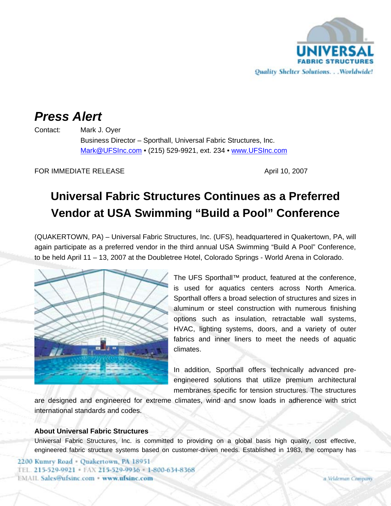

## *Press Alert*

Contact: Mark J. Oyer Business Director – Sporthall, Universal Fabric Structures, Inc. Mark@UFSInc.com • (215) 529-9921, ext. 234 • www.UFSInc.com

FOR IMMEDIATE RELEASE April 10, 2007

## **Universal Fabric Structures Continues as a Preferred Vendor at USA Swimming "Build a Pool" Conference**

(QUAKERTOWN, PA) – Universal Fabric Structures, Inc. (UFS), headquartered in Quakertown, PA, will again participate as a preferred vendor in the third annual USA Swimming "Build A Pool" Conference, to be held April 11 – 13, 2007 at the Doubletree Hotel, Colorado Springs - World Arena in Colorado.



The UFS Sporthall™ product, featured at the conference, is used for aquatics centers across North America. Sporthall offers a broad selection of structures and sizes in aluminum or steel construction with numerous finishing options such as insulation, retractable wall systems, HVAC, lighting systems, doors, and a variety of outer fabrics and inner liners to meet the needs of aquatic climates.

In addition, Sporthall offers technically advanced preengineered solutions that utilize premium architectural membranes specific for tension structures. The structures

are designed and engineered for extreme climates, wind and snow loads in adherence with strict international standards and codes.

## **About Universal Fabric Structures**

Universal Fabric Structures, Inc. is committed to providing on a global basis high quality, cost effective, engineered fabric structure systems based on customer-driven needs. Established in 1983, the company has

2200 Kumry Road - Quakertown, PA 18951 TEL. 215-529-9921 · FAX 215-529-9936 · 1-800-634-8368 **EMAIL Sales@ufsinc.com · www.ufsinc.com**